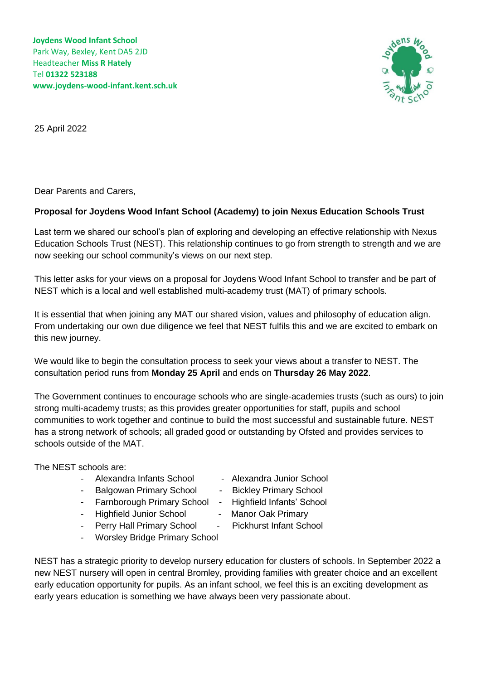

25 April 2022

Dear Parents and Carers,

## **Proposal for Joydens Wood Infant School (Academy) to join Nexus Education Schools Trust**

Last term we shared our school's plan of exploring and developing an effective relationship with Nexus Education Schools Trust (NEST). This relationship continues to go from strength to strength and we are now seeking our school community's views on our next step.

This letter asks for your views on a proposal for Joydens Wood Infant School to transfer and be part of NEST which is a local and well established multi-academy trust (MAT) of primary schools.

It is essential that when joining any MAT our shared vision, values and philosophy of education align. From undertaking our own due diligence we feel that NEST fulfils this and we are excited to embark on this new journey.

We would like to begin the consultation process to seek your views about a transfer to NEST. The consultation period runs from **Monday 25 April** and ends on **Thursday 26 May 2022**.

The Government continues to encourage schools who are single-academies trusts (such as ours) to join strong multi-academy trusts; as this provides greater opportunities for staff, pupils and school communities to work together and continue to build the most successful and sustainable future. NEST has a strong network of schools; all graded good or outstanding by Ofsted and provides services to schools outside of the MAT.

The NEST schools are:

- Alexandra Infants School Alexandra Junior School
	-
- 
- 
- Highfield Junior School Manor Oak Primary
- 
- Perry Hall Primary School Pickhurst Infant School
- Worsley Bridge Primary School
- 
- Balgowan Primary School Bickley Primary School
- Farnborough Primary School Highfield Infants' School
	-
	-

NEST has a strategic priority to develop nursery education for clusters of schools. In September 2022 a new NEST nursery will open in central Bromley, providing families with greater choice and an excellent early education opportunity for pupils. As an infant school, we feel this is an exciting development as early years education is something we have always been very passionate about.